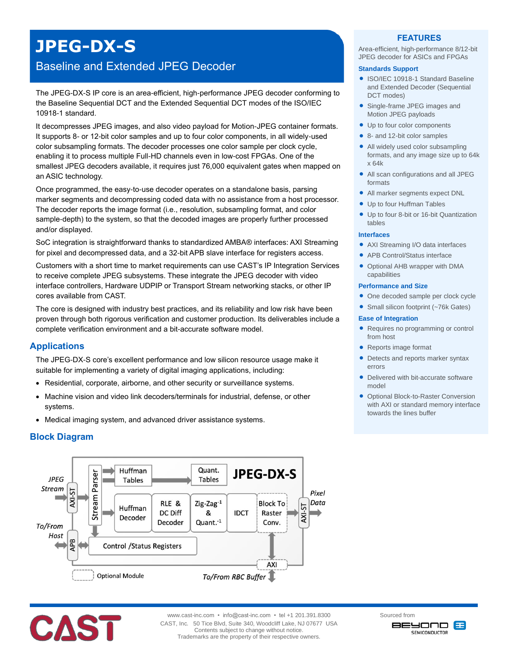# **JPEG-DX-S**

## Baseline and Extended JPEG Decoder

The JPEG-DX-S IP core is an area-efficient, high-performance JPEG decoder conforming to the Baseline Sequential DCT and the Extended Sequential DCT modes of the ISO/IEC 10918-1 standard.

It decompresses JPEG images, and also video payload for Motion-JPEG container formats. It supports 8- or 12-bit color samples and up to four color components, in all widely-used color subsampling formats. The decoder processes one color sample per clock cycle, enabling it to process multiple Full-HD channels even in low-cost FPGAs. One of the smallest JPEG decoders available, it requires just 76,000 equivalent gates when mapped on an ASIC technology.

Once programmed, the easy-to-use decoder operates on a standalone basis, parsing marker segments and decompressing coded data with no assistance from a host processor. The decoder reports the image format (i.e., resolution, subsampling format, and color sample-depth) to the system, so that the decoded images are properly further processed and/or displayed.

SoC integration is straightforward thanks to standardized AMBA® interfaces: AXI Streaming for pixel and decompressed data, and a 32-bit APB slave interface for registers access.

Customers with a short time to market requirements can use CAST's IP Integration Services to receive complete JPEG subsystems. These integrate the JPEG decoder with video interface controllers, Hardware UDPIP or Transport Stream networking stacks, or other IP cores available from CAST.

The core is designed with industry best practices, and its reliability and low risk have been proven through both rigorous verification and customer production. Its deliverables include a complete verification environment and a bit-accurate software model.

## **Applications**

The JPEG-DX-S core's excellent performance and low silicon resource usage make it suitable for implementing a variety of digital imaging applications, including:

- Residential, corporate, airborne, and other security or surveillance systems.
- Machine vision and video link decoders/terminals for industrial, defense, or other systems.
- Medical imaging system, and advanced driver assistance systems.

## **Block Diagram**





www.cast-inc.com • info@cast-inc.com • tel +1 201.391.8300 CAST, Inc. 50 Tice Blvd, Suite 340, Woodcliff Lake, NJ 07677 USA Contents subject to change without notice. Trademarks are the property of their respective owners.

#### **FEATURES**

Area-efficient, high-performance 8/12-bit JPEG decoder for ASICs and FPGAs

#### **Standards Support**

- ISO/IEC 10918-1 Standard Baseline and Extended Decoder (Sequential DCT modes)
- Single-frame JPEG images and Motion JPEG payloads
- Up to four color components
- 8- and 12-bit color samples
- All widely used color subsampling formats, and any image size up to 64k x 64k
- All scan configurations and all JPEG formats
- All marker segments expect DNL
- Up to four Huffman Tables
- Up to four 8-bit or 16-bit Quantization tables

#### **Interfaces**

- AXI Streaming I/O data interfaces
- APB Control/Status interface
- Optional AHB wrapper with DMA capabilities

#### **Performance and Size**

- One decoded sample per clock cycle
- Small silicon footprint (~76k Gates)

#### **Ease of Integration**

- Requires no programming or control from host
- Reports image format
- Detects and reports marker syntax errors
- Delivered with bit-accurate software model
- **Optional Block-to-Raster Conversion** with AXI or standard memory interface towards the lines buffer